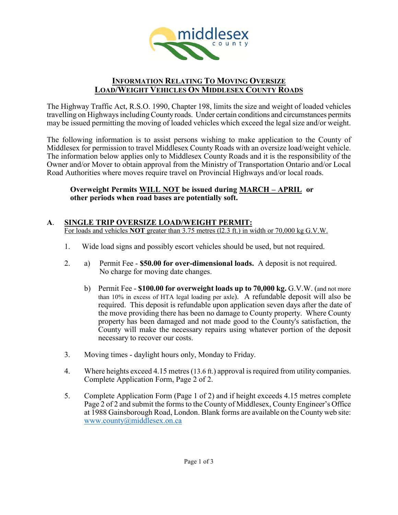

# **INFORMATION RELATING TO MOVING OVERSIZE LOAD/WEIGHT VEHICLES ON MIDDLESEX COUNTY ROADS**

The Highway Traffic Act, R.S.O. 1990, Chapter 198, limits the size and weight of loaded vehicles travelling on Highways including County roads. Under certain conditions and circumstances permits may be issued permitting the moving of loaded vehicles which exceed the legal size and/or weight.

The following information is to assist persons wishing to make application to the County of Middlesex for permission to travel Middlesex County Roads with an oversize load/weight vehicle. The information below applies only to Middlesex County Roads and it is the responsibility of the Owner and/or Mover to obtain approval from the Ministry of Transportation Ontario and/or Local Road Authorities where moves require travel on Provincial Highways and/or local roads.

# **Overweight Permits WILL NOT be issued during MARCH – APRIL or other periods when road bases are potentially soft.**

### **A**. **SINGLE TRIP OVERSIZE LOAD/WEIGHT PERMIT:**  For loads and vehicles **NOT** greater than 3.75 metres (l2.3 ft.) in width or 70,000 kg G.V.W.

- 1. Wide load signs and possibly escort vehicles should be used, but not required.
- 2. a) Permit Fee **\$50.00 for over-dimensional loads.** A deposit is not required. No charge for moving date changes.
	- b) Permit Fee **\$100.00 for overweight loads up to 70,000 kg.** G.V.W. (and not more than 10% in excess of HTA legal loading per axle). A refundable deposit will also be required. This deposit is refundable upon application seven days after the date of the move providing there has been no damage to County property. Where County property has been damaged and not made good to the County's satisfaction, the County will make the necessary repairs using whatever portion of the deposit necessary to recover our costs.
- 3. Moving times daylight hours only, Monday to Friday.
- 4. Where heights exceed 4.15 metres (13.6 ft.) approval is required from utility companies. Complete Application Form, Page 2 of 2.
- 5. Complete Application Form (Page 1 of 2) and if height exceeds 4.15 metres complete Page 2 of 2 and submit the forms to the County of Middlesex, County Engineer's Office at 1988 Gainsborough Road, London. Blank forms are available on the County web site: [www.county@middlesex.on.ca](http://www.county@middlesex.on.ca)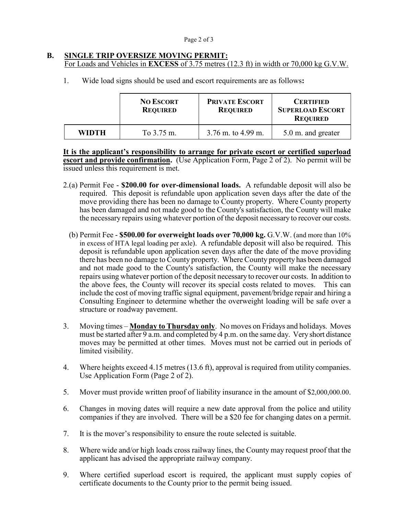### **B. SINGLE TRIP OVERSIZE MOVING PERMIT:** For Loads and Vehicles in **EXCESS** of 3.75 metres (12.3 ft) in width or 70,000 kg G.V.W.

1. Wide load signs should be used and escort requirements are as follows**:**

|              | <b>NO ESCORT</b><br><b>REQUIRED</b> | <b>PRIVATE ESCORT</b><br><b>REQUIRED</b> | <b>CERTIFIED</b><br><b>SUPERLOAD ESCORT</b><br><b>REQUIRED</b> |
|--------------|-------------------------------------|------------------------------------------|----------------------------------------------------------------|
| <b>WIDTH</b> | To 3.75 m.                          | $3.76$ m. to 4.99 m.                     | 5.0 m. and greater                                             |

**It is the applicant's responsibility to arrange for private escort or certified superload escort and provide confirmation.** (Use Application Form, Page 2 of 2). No permit will be issued unless this requirement is met.

- 2.(a) Permit Fee **\$200.00 for over-dimensional loads.** A refundable deposit will also be required. This deposit is refundable upon application seven days after the date of the move providing there has been no damage to County property. Where County property has been damaged and not made good to the County's satisfaction, the County will make the necessary repairs using whatever portion of the deposit necessary to recover our costs.
	- (b) Permit Fee **\$500.00 for overweight loads over 70,000 kg.** G.V.W. (and more than 10% in excess of HTA legal loading per axle). A refundable deposit will also be required. This deposit is refundable upon application seven days after the date of the move providing there has been no damage to County property. Where County property has been damaged and not made good to the County's satisfaction, the County will make the necessary repairs using whatever portion of the deposit necessary to recover our costs. In addition to the above fees, the County will recover its special costs related to moves. This can include the cost of moving traffic signal equipment, pavement/bridge repair and hiring a Consulting Engineer to determine whether the overweight loading will be safe over a structure or roadway pavement.
- 3. Moving times **Monday to Thursday only**. No moves on Fridays and holidays. Moves must be started after 9 a.m. and completed by 4 p.m. on the same day. Very short distance moves may be permitted at other times. Moves must not be carried out in periods of limited visibility.
- 4. Where heights exceed 4.15 metres (13.6 ft), approval is required from utility companies. Use Application Form (Page 2 of 2).
- 5. Mover must provide written proof of liability insurance in the amount of \$2,000,000.00.
- 6. Changes in moving dates will require a new date approval from the police and utility companies if they are involved. There will be a \$20 fee for changing dates on a permit.
- 7. It is the mover's responsibility to ensure the route selected is suitable.
- 8. Where wide and/or high loads cross railway lines, the County may request proof that the applicant has advised the appropriate railway company.
- 9. Where certified superload escort is required, the applicant must supply copies of certificate documents to the County prior to the permit being issued.